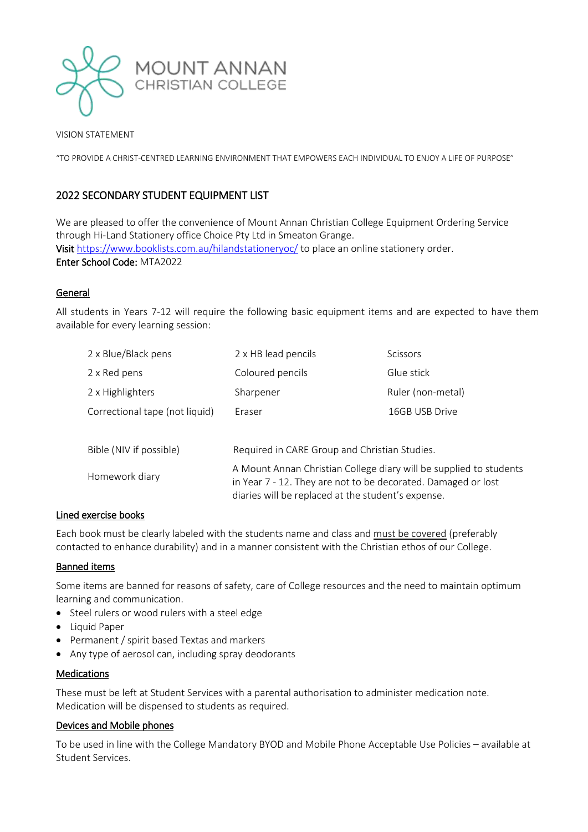

VISION STATEMENT

"TO PROVIDE A CHRIST-CENTRED LEARNING ENVIRONMENT THAT EMPOWERS EACH INDIVIDUAL TO ENJOY A LIFE OF PURPOSE"

# 2022 SECONDARY STUDENT EQUIPMENT LIST

We are pleased to offer the convenience of Mount Annan Christian College Equipment Ordering Service through Hi-Land Stationery office Choice Pty Ltd in Smeaton Grange. Visit <https://www.booklists.com.au/hilandstationeryoc/> to place an online stationery order. Enter School Code: MTA2022

# General

All students in Years 7-12 will require the following basic equipment items and are expected to have them available for every learning session:

| 2 x Blue/Black pens            | 2 x HB lead pencils                                                                                                                                                                       | Scissors          |
|--------------------------------|-------------------------------------------------------------------------------------------------------------------------------------------------------------------------------------------|-------------------|
| 2 x Red pens                   | Coloured pencils                                                                                                                                                                          | Glue stick        |
| 2 x Highlighters               | Sharpener                                                                                                                                                                                 | Ruler (non-metal) |
| Correctional tape (not liquid) | Eraser                                                                                                                                                                                    | 16GB USB Drive    |
|                                |                                                                                                                                                                                           |                   |
| Bible (NIV if possible)        | Required in CARE Group and Christian Studies.                                                                                                                                             |                   |
| Homework diary                 | A Mount Annan Christian College diary will be supplied to students<br>in Year 7 - 12. They are not to be decorated. Damaged or lost<br>diaries will be replaced at the student's expense. |                   |

## Lined exercise books

Each book must be clearly labeled with the students name and class and must be covered (preferably contacted to enhance durability) and in a manner consistent with the Christian ethos of our College.

## Banned items

Some items are banned for reasons of safety, care of College resources and the need to maintain optimum learning and communication.

- Steel rulers or wood rulers with a steel edge
- Liquid Paper
- Permanent / spirit based Textas and markers
- Any type of aerosol can, including spray deodorants

#### **Medications**

These must be left at Student Services with a parental authorisation to administer medication note. Medication will be dispensed to students as required.

#### Devices and Mobile phones

To be used in line with the College Mandatory BYOD and Mobile Phone Acceptable Use Policies – available at Student Services.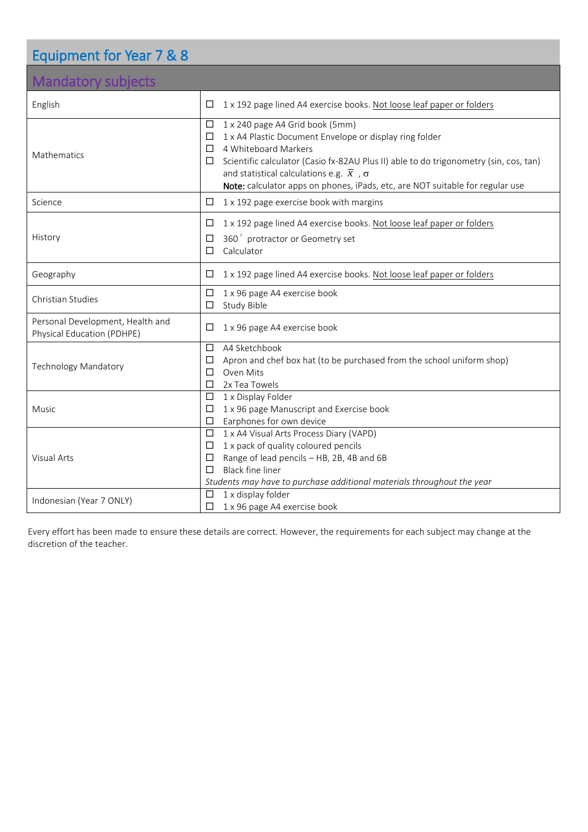# Equipment for Year 7 & 8

# Mandatory subjects

| <b>IVIANGATORY SUDJECTS</b>                                    |                                                                                                                                                                                                                                                                                                                                                                                           |  |  |  |
|----------------------------------------------------------------|-------------------------------------------------------------------------------------------------------------------------------------------------------------------------------------------------------------------------------------------------------------------------------------------------------------------------------------------------------------------------------------------|--|--|--|
| English                                                        | 1 x 192 page lined A4 exercise books. Not loose leaf paper or folders<br>□                                                                                                                                                                                                                                                                                                                |  |  |  |
| Mathematics                                                    | 1 x 240 page A4 Grid book (5mm)<br>$\Box$<br>1 x A4 Plastic Document Envelope or display ring folder<br>$\Box$<br>4 Whiteboard Markers<br>$\Box$<br>Scientific calculator (Casio fx-82AU Plus II) able to do trigonometry (sin, cos, tan)<br>□<br>and statistical calculations e.g. $\bar{x}$ , $\sigma$<br>Note: calculator apps on phones, iPads, etc, are NOT suitable for regular use |  |  |  |
| Science                                                        | 1 x 192 page exercise book with margins<br>□                                                                                                                                                                                                                                                                                                                                              |  |  |  |
| History                                                        | 1 x 192 page lined A4 exercise books. Not loose leaf paper or folders<br>⊔<br>360° protractor or Geometry set<br>$\Box$<br>Calculator<br>□                                                                                                                                                                                                                                                |  |  |  |
| Geography                                                      | 1 x 192 page lined A4 exercise books. Not loose leaf paper or folders<br>⊔                                                                                                                                                                                                                                                                                                                |  |  |  |
| Christian Studies                                              | 1 x 96 page A4 exercise book<br>□<br>Study Bible<br>□                                                                                                                                                                                                                                                                                                                                     |  |  |  |
| Personal Development, Health and<br>Physical Education (PDHPE) | 1 x 96 page A4 exercise book<br>□                                                                                                                                                                                                                                                                                                                                                         |  |  |  |
| <b>Technology Mandatory</b>                                    | A4 Sketchbook<br>□<br>Apron and chef box hat (to be purchased from the school uniform shop)<br>□<br>Oven Mits<br>П<br>2x Tea Towels<br>□                                                                                                                                                                                                                                                  |  |  |  |
| Music                                                          | 1 x Display Folder<br>□<br>1 x 96 page Manuscript and Exercise book<br>□<br>Earphones for own device<br>□                                                                                                                                                                                                                                                                                 |  |  |  |
| Visual Arts                                                    | 1 x A4 Visual Arts Process Diary (VAPD)<br>□<br>1 x pack of quality coloured pencils<br>□<br>Range of lead pencils - HB, 2B, 4B and 6B<br>□<br><b>Black fine liner</b><br>П<br>Students may have to purchase additional materials throughout the year                                                                                                                                     |  |  |  |
| Indonesian (Year 7 ONLY)                                       | 1 x display folder<br>□<br>1 x 96 page A4 exercise book<br>□                                                                                                                                                                                                                                                                                                                              |  |  |  |

Every effort has been made to ensure these details are correct. However, the requirements for each subject may change at the discretion of the teacher.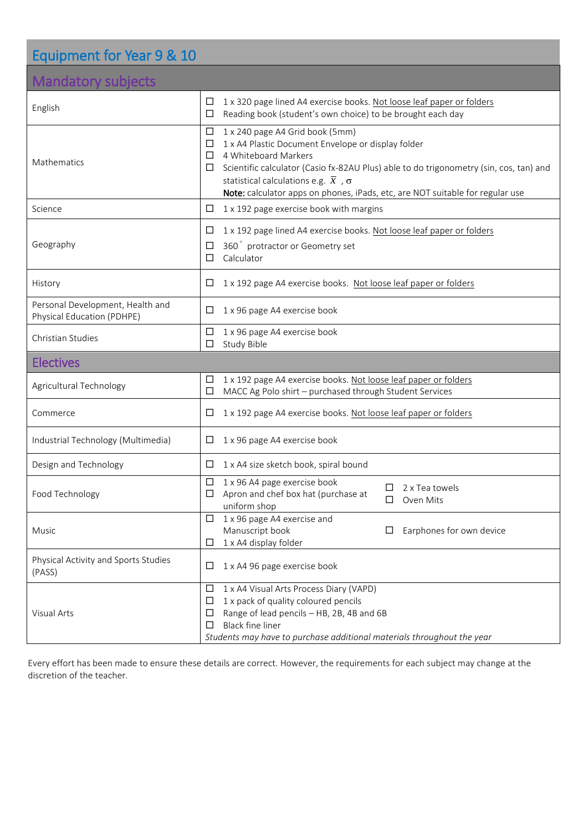| Equipment for Year 9 & 10                                      |                                                                                                                                                                                                                                                                                                                                                                         |  |  |  |
|----------------------------------------------------------------|-------------------------------------------------------------------------------------------------------------------------------------------------------------------------------------------------------------------------------------------------------------------------------------------------------------------------------------------------------------------------|--|--|--|
| <b>Mandatory subjects</b>                                      |                                                                                                                                                                                                                                                                                                                                                                         |  |  |  |
| English                                                        | 1 x 320 page lined A4 exercise books. Not loose leaf paper or folders<br>□<br>Reading book (student's own choice) to be brought each day<br>□                                                                                                                                                                                                                           |  |  |  |
| Mathematics                                                    | 1 x 240 page A4 Grid book (5mm)<br>$\Box$<br>1 x A4 Plastic Document Envelope or display folder<br>□<br>4 Whiteboard Markers<br>□<br>Scientific calculator (Casio fx-82AU Plus) able to do trigonometry (sin, cos, tan) and<br>□<br>statistical calculations e.g. $\bar{x}$ , $\sigma$<br>Note: calculator apps on phones, iPads, etc, are NOT suitable for regular use |  |  |  |
| Science                                                        | 1 x 192 page exercise book with margins<br>□                                                                                                                                                                                                                                                                                                                            |  |  |  |
| Geography                                                      | 1 x 192 page lined A4 exercise books. Not loose leaf paper or folders<br>□<br>360° protractor or Geometry set<br>□<br>Calculator<br>П                                                                                                                                                                                                                                   |  |  |  |
| History                                                        | 1 x 192 page A4 exercise books. Not loose leaf paper or folders<br>□                                                                                                                                                                                                                                                                                                    |  |  |  |
| Personal Development, Health and<br>Physical Education (PDHPE) | 1 x 96 page A4 exercise book<br>□                                                                                                                                                                                                                                                                                                                                       |  |  |  |
| Christian Studies                                              | 1 x 96 page A4 exercise book<br>$\Box$<br>Study Bible<br>□                                                                                                                                                                                                                                                                                                              |  |  |  |
| <b>Electives</b>                                               |                                                                                                                                                                                                                                                                                                                                                                         |  |  |  |
| Agricultural Technology                                        | 1 x 192 page A4 exercise books. Not loose leaf paper or folders<br>□<br>MACC Ag Polo shirt - purchased through Student Services<br>□                                                                                                                                                                                                                                    |  |  |  |
| Commerce                                                       | 1 x 192 page A4 exercise books. Not loose leaf paper or folders<br>□                                                                                                                                                                                                                                                                                                    |  |  |  |
| Industrial Technology (Multimedia)                             | 1 x 96 page A4 exercise book<br>⊔                                                                                                                                                                                                                                                                                                                                       |  |  |  |
| Design and Technology                                          | 1 x A4 size sketch book, spiral bound<br>ப                                                                                                                                                                                                                                                                                                                              |  |  |  |
|                                                                | $\Box$ 1.00 M $\rightarrow$ $\rightarrow$ $\rightarrow$ $\rightarrow$ $\rightarrow$ $\rightarrow$ $\rightarrow$                                                                                                                                                                                                                                                         |  |  |  |

| Food Technology                                | □<br>1 x 96 A4 page exercise book<br>2 x Tea towels<br>Apron and chef box hat (purchase at<br>Ш<br>Oven Mits<br>uniform shop |
|------------------------------------------------|------------------------------------------------------------------------------------------------------------------------------|
| <b>Music</b>                                   | 1 x 96 page A4 exercise and<br>□<br>Manuscript book<br>Earphones for own device<br>ப                                         |
|                                                | 1 x A4 display folder                                                                                                        |
| Physical Activity and Sports Studies<br>(PASS) | 1 x A4 96 page exercise book<br>□                                                                                            |
|                                                | 1 x A4 Visual Arts Process Diary (VAPD)<br>□                                                                                 |
|                                                | 1 x pack of quality coloured pencils<br>□                                                                                    |
| Visual Arts                                    | Range of lead pencils - HB, 2B, 4B and 6B<br>⊏                                                                               |
|                                                | <b>Black fine liner</b>                                                                                                      |
|                                                | Students may have to purchase additional materials throughout the year                                                       |

Every effort has been made to ensure these details are correct. However, the requirements for each subject may change at the discretion of the teacher.